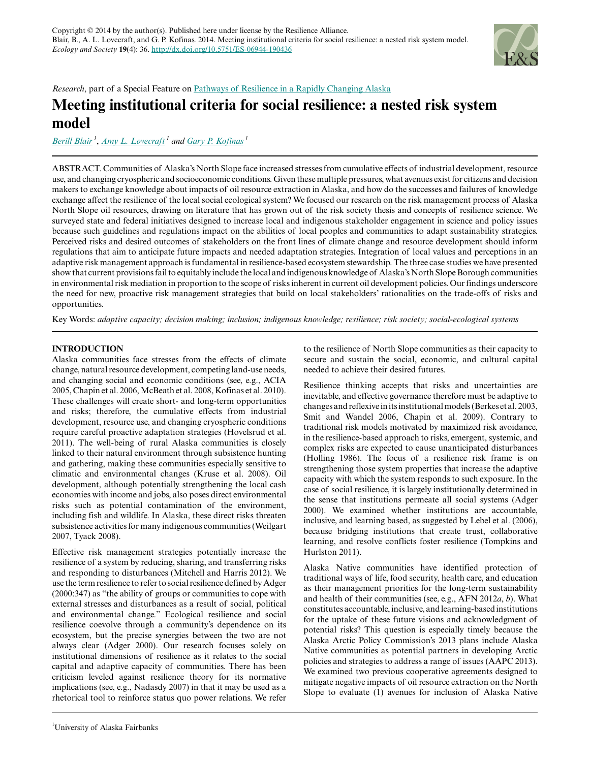

*Research*, part of a Special Feature on [Pathways of Resilience in a Rapidly Changing Alaska](http://www.ecologyandsociety.org/viewissue.php?sf=104)

# **Meeting institutional criteria for social resilience: a nested risk system model**

*[Berill Blair](mailto:bsblair@alaska.edu)<sup>1</sup>* , *[Amy L. Lovecraft](mailto:allovecraft@alaska.edu)<sup>1</sup> and [Gary P. Kofinas](mailto:gpkofinas@alaska.edu)<sup>1</sup>*

ABSTRACT. Communities of Alaska's North Slope face increased stresses from cumulative effects of industrial development, resource use, and changing cryospheric and socioeconomic conditions. Given these multiple pressures, what avenues exist for citizens and decision makers to exchange knowledge about impacts of oil resource extraction in Alaska, and how do the successes and failures of knowledge exchange affect the resilience of the local social ecological system? We focused our research on the risk management process of Alaska North Slope oil resources, drawing on literature that has grown out of the risk society thesis and concepts of resilience science. We surveyed state and federal initiatives designed to increase local and indigenous stakeholder engagement in science and policy issues because such guidelines and regulations impact on the abilities of local peoples and communities to adapt sustainability strategies. Perceived risks and desired outcomes of stakeholders on the front lines of climate change and resource development should inform regulations that aim to anticipate future impacts and needed adaptation strategies. Integration of local values and perceptions in an adaptive risk management approach is fundamental in resilience-based ecosystem stewardship. The three case studies we have presented show that current provisions fail to equitably include the local and indigenous knowledge of Alaska's North Slope Borough communities in environmental risk mediation in proportion to the scope of risks inherent in current oil development policies. Our findings underscore the need for new, proactive risk management strategies that build on local stakeholders' rationalities on the trade-offs of risks and opportunities.

Key Words: *adaptive capacity; decision making; inclusion; indigenous knowledge; resilience; risk society; social-ecological systems*

# **INTRODUCTION**

Alaska communities face stresses from the effects of climate change, natural resource development, competing land-use needs, and changing social and economic conditions (see, e.g., ACIA 2005, Chapin et al. 2006, McBeath et al. 2008, Kofinas et al. 2010). These challenges will create short- and long-term opportunities and risks; therefore, the cumulative effects from industrial development, resource use, and changing cryospheric conditions require careful proactive adaptation strategies (Hovelsrud et al. 2011). The well-being of rural Alaska communities is closely linked to their natural environment through subsistence hunting and gathering, making these communities especially sensitive to climatic and environmental changes (Kruse et al. 2008). Oil development, although potentially strengthening the local cash economies with income and jobs, also poses direct environmental risks such as potential contamination of the environment, including fish and wildlife. In Alaska, these direct risks threaten subsistence activities for many indigenous communities (Weilgart 2007, Tyack 2008).

Effective risk management strategies potentially increase the resilience of a system by reducing, sharing, and transferring risks and responding to disturbances (Mitchell and Harris 2012). We use the term resilience to refer to social resilience defined by Adger (2000:347) as "the ability of groups or communities to cope with external stresses and disturbances as a result of social, political and environmental change." Ecological resilience and social resilience coevolve through a community's dependence on its ecosystem, but the precise synergies between the two are not always clear (Adger 2000). Our research focuses solely on institutional dimensions of resilience as it relates to the social capital and adaptive capacity of communities. There has been criticism leveled against resilience theory for its normative implications (see, e.g., Nadasdy 2007) in that it may be used as a rhetorical tool to reinforce status quo power relations. We refer

to the resilience of North Slope communities as their capacity to secure and sustain the social, economic, and cultural capital needed to achieve their desired futures.

Resilience thinking accepts that risks and uncertainties are inevitable, and effective governance therefore must be adaptive to changes and reflexive in its institutional models (Berkes et al. 2003, Smit and Wandel 2006, Chapin et al. 2009). Contrary to traditional risk models motivated by maximized risk avoidance, in the resilience-based approach to risks, emergent, systemic, and complex risks are expected to cause unanticipated disturbances (Holling 1986). The focus of a resilience risk frame is on strengthening those system properties that increase the adaptive capacity with which the system responds to such exposure. In the case of social resilience, it is largely institutionally determined in the sense that institutions permeate all social systems (Adger 2000). We examined whether institutions are accountable, inclusive, and learning based, as suggested by Lebel et al. (2006), because bridging institutions that create trust, collaborative learning, and resolve conflicts foster resilience (Tompkins and Hurlston 2011).

Alaska Native communities have identified protection of traditional ways of life, food security, health care, and education as their management priorities for the long-term sustainability and health of their communities (see, e.g., AFN 2012*a*, *b*). What constitutes accountable, inclusive, and learning-based institutions for the uptake of these future visions and acknowledgment of potential risks? This question is especially timely because the Alaska Arctic Policy Commission's 2013 plans include Alaska Native communities as potential partners in developing Arctic policies and strategies to address a range of issues (AAPC 2013). We examined two previous cooperative agreements designed to mitigate negative impacts of oil resource extraction on the North Slope to evaluate (1) avenues for inclusion of Alaska Native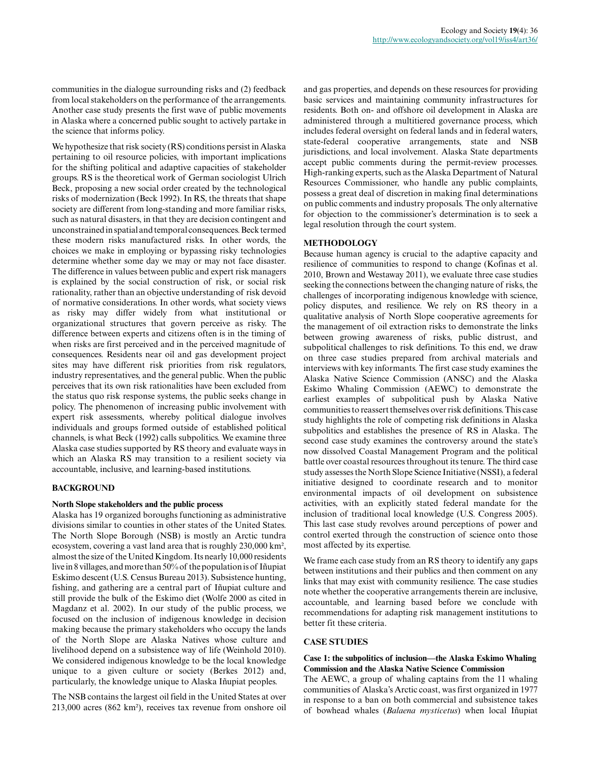communities in the dialogue surrounding risks and (2) feedback from local stakeholders on the performance of the arrangements. Another case study presents the first wave of public movements in Alaska where a concerned public sought to actively partake in the science that informs policy.

We hypothesize that risk society (RS) conditions persist in Alaska pertaining to oil resource policies, with important implications for the shifting political and adaptive capacities of stakeholder groups. RS is the theoretical work of German sociologist Ulrich Beck, proposing a new social order created by the technological risks of modernization (Beck 1992). In RS, the threats that shape society are different from long-standing and more familiar risks, such as natural disasters, in that they are decision contingent and unconstrained in spatial and temporal consequences. Beck termed these modern risks manufactured risks. In other words, the choices we make in employing or bypassing risky technologies determine whether some day we may or may not face disaster. The difference in values between public and expert risk managers is explained by the social construction of risk, or social risk rationality, rather than an objective understanding of risk devoid of normative considerations. In other words, what society views as risky may differ widely from what institutional or organizational structures that govern perceive as risky. The difference between experts and citizens often is in the timing of when risks are first perceived and in the perceived magnitude of consequences. Residents near oil and gas development project sites may have different risk priorities from risk regulators, industry representatives, and the general public. When the public perceives that its own risk rationalities have been excluded from the status quo risk response systems, the public seeks change in policy. The phenomenon of increasing public involvement with expert risk assessments, whereby political dialogue involves individuals and groups formed outside of established political channels, is what Beck (1992) calls subpolitics. We examine three Alaska case studies supported by RS theory and evaluate ways in which an Alaska RS may transition to a resilient society via accountable, inclusive, and learning-based institutions.

# **BACKGROUND**

# **North Slope stakeholders and the public process**

Alaska has 19 organized boroughs functioning as administrative divisions similar to counties in other states of the United States. The North Slope Borough (NSB) is mostly an Arctic tundra ecosystem, covering a vast land area that is roughly 230,000 km², almost the size of the United Kingdom. Its nearly 10,000 residents live in 8 villages, and more than 50% of the population is of Iñupiat Eskimo descent (U.S. Census Bureau 2013). Subsistence hunting, fishing, and gathering are a central part of Iñupiat culture and still provide the bulk of the Eskimo diet (Wolfe 2000 as cited in Magdanz et al. 2002). In our study of the public process, we focused on the inclusion of indigenous knowledge in decision making because the primary stakeholders who occupy the lands of the North Slope are Alaska Natives whose culture and livelihood depend on a subsistence way of life (Weinhold 2010). We considered indigenous knowledge to be the local knowledge unique to a given culture or society (Berkes 2012) and, particularly, the knowledge unique to Alaska Iñupiat peoples.

The NSB contains the largest oil field in the United States at over 213,000 acres (862 km²), receives tax revenue from onshore oil and gas properties, and depends on these resources for providing basic services and maintaining community infrastructures for residents. Both on- and offshore oil development in Alaska are administered through a multitiered governance process, which includes federal oversight on federal lands and in federal waters, state-federal cooperative arrangements, state and NSB jurisdictions, and local involvement. Alaska State departments accept public comments during the permit-review processes. High-ranking experts, such as the Alaska Department of Natural Resources Commissioner, who handle any public complaints, possess a great deal of discretion in making final determinations on public comments and industry proposals. The only alternative for objection to the commissioner's determination is to seek a legal resolution through the court system.

#### **METHODOLOGY**

Because human agency is crucial to the adaptive capacity and resilience of communities to respond to change (Kofinas et al. 2010, Brown and Westaway 2011), we evaluate three case studies seeking the connections between the changing nature of risks, the challenges of incorporating indigenous knowledge with science, policy disputes, and resilience. We rely on RS theory in a qualitative analysis of North Slope cooperative agreements for the management of oil extraction risks to demonstrate the links between growing awareness of risks, public distrust, and subpolitical challenges to risk definitions. To this end, we draw on three case studies prepared from archival materials and interviews with key informants. The first case study examines the Alaska Native Science Commission (ANSC) and the Alaska Eskimo Whaling Commission (AEWC) to demonstrate the earliest examples of subpolitical push by Alaska Native communities to reassert themselves over risk definitions. This case study highlights the role of competing risk definitions in Alaska subpolitics and establishes the presence of RS in Alaska. The second case study examines the controversy around the state's now dissolved Coastal Management Program and the political battle over coastal resources throughout its tenure. The third case study assesses the North Slope Science Initiative (NSSI), a federal initiative designed to coordinate research and to monitor environmental impacts of oil development on subsistence activities, with an explicitly stated federal mandate for the inclusion of traditional local knowledge (U.S. Congress 2005). This last case study revolves around perceptions of power and control exerted through the construction of science onto those most affected by its expertise.

We frame each case study from an RS theory to identify any gaps between institutions and their publics and then comment on any links that may exist with community resilience. The case studies note whether the cooperative arrangements therein are inclusive, accountable, and learning based before we conclude with recommendations for adapting risk management institutions to better fit these criteria.

#### **CASE STUDIES**

# **Case 1: the subpolitics of inclusion—the Alaska Eskimo Whaling Commission and the Alaska Native Science Commission**

The AEWC, a group of whaling captains from the 11 whaling communities of Alaska's Arctic coast, was first organized in 1977 in response to a ban on both commercial and subsistence takes of bowhead whales (*Balaena mysticetus*) when local Iñupiat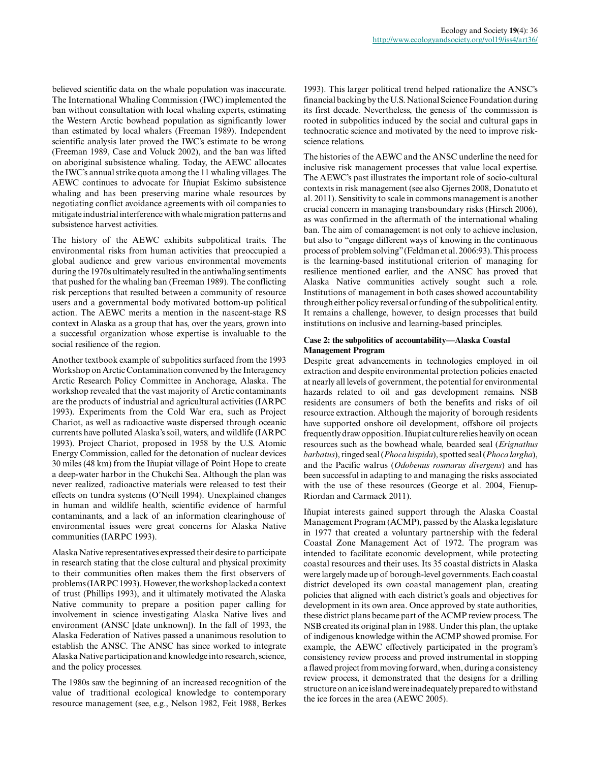believed scientific data on the whale population was inaccurate. The International Whaling Commission (IWC) implemented the ban without consultation with local whaling experts, estimating the Western Arctic bowhead population as significantly lower than estimated by local whalers (Freeman 1989). Independent scientific analysis later proved the IWC's estimate to be wrong (Freeman 1989, Case and Voluck 2002), and the ban was lifted on aboriginal subsistence whaling. Today, the AEWC allocates the IWC's annual strike quota among the 11 whaling villages. The AEWC continues to advocate for Iñupiat Eskimo subsistence whaling and has been preserving marine whale resources by negotiating conflict avoidance agreements with oil companies to mitigate industrial interference with whale migration patterns and subsistence harvest activities.

The history of the AEWC exhibits subpolitical traits. The environmental risks from human activities that preoccupied a global audience and grew various environmental movements during the 1970s ultimately resulted in the antiwhaling sentiments that pushed for the whaling ban (Freeman 1989). The conflicting risk perceptions that resulted between a community of resource users and a governmental body motivated bottom-up political action. The AEWC merits a mention in the nascent-stage RS context in Alaska as a group that has, over the years, grown into a successful organization whose expertise is invaluable to the social resilience of the region.

Another textbook example of subpolitics surfaced from the 1993 Workshop on Arctic Contamination convened by the Interagency Arctic Research Policy Committee in Anchorage, Alaska. The workshop revealed that the vast majority of Arctic contaminants are the products of industrial and agricultural activities (IARPC 1993). Experiments from the Cold War era, such as Project Chariot, as well as radioactive waste dispersed through oceanic currents have polluted Alaska's soil, waters, and wildlife (IARPC 1993). Project Chariot, proposed in 1958 by the U.S. Atomic Energy Commission, called for the detonation of nuclear devices 30 miles (48 km) from the Iñupiat village of Point Hope to create a deep-water harbor in the Chukchi Sea. Although the plan was never realized, radioactive materials were released to test their effects on tundra systems (O'Neill 1994). Unexplained changes in human and wildlife health, scientific evidence of harmful contaminants, and a lack of an information clearinghouse of environmental issues were great concerns for Alaska Native communities (IARPC 1993).

Alaska Native representatives expressed their desire to participate in research stating that the close cultural and physical proximity to their communities often makes them the first observers of problems (IARPC 1993). However, the workshop lacked a context of trust (Phillips 1993), and it ultimately motivated the Alaska Native community to prepare a position paper calling for involvement in science investigating Alaska Native lives and environment (ANSC [date unknown]). In the fall of 1993, the Alaska Federation of Natives passed a unanimous resolution to establish the ANSC. The ANSC has since worked to integrate Alaska Native participation and knowledge into research, science, and the policy processes.

The 1980s saw the beginning of an increased recognition of the value of traditional ecological knowledge to contemporary resource management (see, e.g., Nelson 1982, Feit 1988, Berkes

1993). This larger political trend helped rationalize the ANSC's financial backing by the U.S. National Science Foundation during its first decade. Nevertheless, the genesis of the commission is rooted in subpolitics induced by the social and cultural gaps in technocratic science and motivated by the need to improve riskscience relations.

The histories of the AEWC and the ANSC underline the need for inclusive risk management processes that value local expertise. The AEWC's past illustrates the important role of socio-cultural contexts in risk management (see also Gjernes 2008, Donatuto et al. 2011). Sensitivity to scale in commons management is another crucial concern in managing transboundary risks (Hirsch 2006), as was confirmed in the aftermath of the international whaling ban. The aim of comanagement is not only to achieve inclusion, but also to "engage different ways of knowing in the continuous process of problem solving" (Feldman et al. 2006:93). This process is the learning-based institutional criterion of managing for resilience mentioned earlier, and the ANSC has proved that Alaska Native communities actively sought such a role. Institutions of management in both cases showed accountability through either policy reversal or funding of the subpolitical entity. It remains a challenge, however, to design processes that build institutions on inclusive and learning-based principles.

# **Case 2: the subpolitics of accountability—Alaska Coastal Management Program**

Despite great advancements in technologies employed in oil extraction and despite environmental protection policies enacted at nearly all levels of government, the potential for environmental hazards related to oil and gas development remains. NSB residents are consumers of both the benefits and risks of oil resource extraction. Although the majority of borough residents have supported onshore oil development, offshore oil projects frequently draw opposition. Iñupiat culture relies heavily on ocean resources such as the bowhead whale, bearded seal (*Erignathus barbatus*), ringed seal (*Phoca hispida*), spotted seal (*Phoca largha*), and the Pacific walrus (*Odobenus rosmarus divergens*) and has been successful in adapting to and managing the risks associated with the use of these resources (George et al. 2004, Fienup-Riordan and Carmack 2011).

Iñupiat interests gained support through the Alaska Coastal Management Program (ACMP), passed by the Alaska legislature in 1977 that created a voluntary partnership with the federal Coastal Zone Management Act of 1972. The program was intended to facilitate economic development, while protecting coastal resources and their uses. Its 35 coastal districts in Alaska were largely made up of borough-level governments. Each coastal district developed its own coastal management plan, creating policies that aligned with each district's goals and objectives for development in its own area. Once approved by state authorities, these district plans became part of the ACMP review process. The NSB created its original plan in 1988. Under this plan, the uptake of indigenous knowledge within the ACMP showed promise. For example, the AEWC effectively participated in the program's consistency review process and proved instrumental in stopping a flawed project from moving forward, when, during a consistency review process, it demonstrated that the designs for a drilling structure on an ice island were inadequately prepared to withstand the ice forces in the area (AEWC 2005).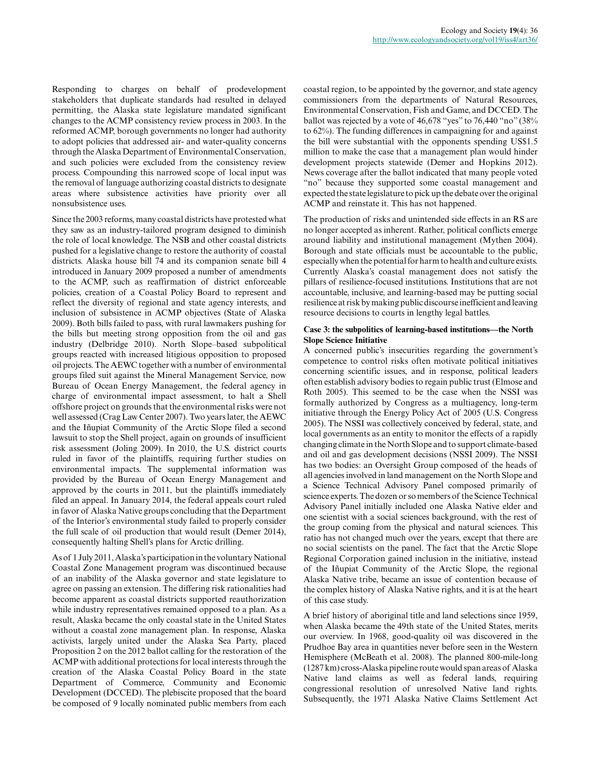Responding to charges on behalf of prodevelopment stakeholders that duplicate standards had resulted in delayed permitting, the Alaska state legislature mandated significant changes to the ACMP consistency review process in 2003. In the reformed ACMP, borough governments no longer had authority to adopt policies that addressed air- and water-quality concerns through the Alaska Department of Environmental Conservation, and such policies were excluded from the consistency review process. Compounding this narrowed scope of local input was the removal of language authorizing coastal districts to designate areas where subsistence activities have priority over all nonsubsistence uses.

Since the 2003 reforms, many coastal districts have protested what they saw as an industry-tailored program designed to diminish the role of local knowledge. The NSB and other coastal districts pushed for a legislative change to restore the authority of coastal districts. Alaska house bill 74 and its companion senate bill 4 introduced in January 2009 proposed a number of amendments to the ACMP, such as reaffirmation of district enforceable policies, creation of a Coastal Policy Board to represent and reflect the diversity of regional and state agency interests, and inclusion of subsistence in ACMP objectives (State of Alaska 2009). Both bills failed to pass, with rural lawmakers pushing for the bills but meeting strong opposition from the oil and gas industry (Delbridge 2010). North Slope–based subpolitical groups reacted with increased litigious opposition to proposed oil projects. The AEWC together with a number of environmental groups filed suit against the Mineral Management Service, now Bureau of Ocean Energy Management, the federal agency in charge of environmental impact assessment, to halt a Shell offshore project on grounds that the environmental risks were not well assessed (Crag Law Center 2007). Two years later, the AEWC and the Iñupiat Community of the Arctic Slope filed a second lawsuit to stop the Shell project, again on grounds of insufficient risk assessment (Joling 2009). In 2010, the U.S. district courts ruled in favor of the plaintiffs, requiring further studies on environmental impacts. The supplemental information was provided by the Bureau of Ocean Energy Management and approved by the courts in 2011, but the plaintiffs immediately filed an appeal. In January 2014, the federal appeals court ruled in favor of Alaska Native groups concluding that the Department of the Interior's environmental study failed to properly consider the full scale of oil production that would result (Demer 2014), consequently halting Shell's plans for Arctic drilling.

As of 1 July 2011, Alaska's participation in the voluntary National Coastal Zone Management program was discontinued because of an inability of the Alaska governor and state legislature to agree on passing an extension. The differing risk rationalities had become apparent as coastal districts supported reauthorization while industry representatives remained opposed to a plan. As a result, Alaska became the only coastal state in the United States without a coastal zone management plan. In response, Alaska activists, largely united under the Alaska Sea Party, placed Proposition 2 on the 2012 ballot calling for the restoration of the ACMP with additional protections for local interests through the creation of the Alaska Coastal Policy Board in the state Department of Commerce, Community and Economic Development (DCCED). The plebiscite proposed that the board be composed of 9 locally nominated public members from each coastal region, to be appointed by the governor, and state agency commissioners from the departments of Natural Resources, Environmental Conservation, Fish and Game, and DCCED. The ballot was rejected by a vote of 46,678 "yes" to 76,440 "no" (38% to 62%). The funding differences in campaigning for and against the bill were substantial with the opponents spending US\$1.5 million to make the case that a management plan would hinder development projects statewide (Demer and Hopkins 2012). News coverage after the ballot indicated that many people voted "no" because they supported some coastal management and expected the state legislature to pick up the debate over the original ACMP and reinstate it. This has not happened.

The production of risks and unintended side effects in an RS are no longer accepted as inherent. Rather, political conflicts emerge around liability and institutional management (Mythen 2004). Borough and state officials must be accountable to the public, especially when the potential for harm to health and culture exists. Currently Alaska's coastal management does not satisfy the pillars of resilience-focused institutions. Institutions that are not accountable, inclusive, and learning-based may be putting social resilience at risk by making public discourse inefficient and leaving resource decisions to courts in lengthy legal battles.

# **Case 3: the subpolitics of learning-based institutions—the North Slope Science Initiative**

A concerned public's insecurities regarding the government's competence to control risks often motivate political initiatives concerning scientific issues, and in response, political leaders often establish advisory bodies to regain public trust (Elmose and Roth 2005). This seemed to be the case when the NSSI was formally authorized by Congress as a multiagency, long-term initiative through the Energy Policy Act of 2005 (U.S. Congress 2005). The NSSI was collectively conceived by federal, state, and local governments as an entity to monitor the effects of a rapidly changing climate in the North Slope and to support climate-based and oil and gas development decisions (NSSI 2009). The NSSI has two bodies: an Oversight Group composed of the heads of all agencies involved in land management on the North Slope and a Science Technical Advisory Panel composed primarily of science experts. The dozen or so members of the Science Technical Advisory Panel initially included one Alaska Native elder and one scientist with a social sciences background, with the rest of the group coming from the physical and natural sciences. This ratio has not changed much over the years, except that there are no social scientists on the panel. The fact that the Arctic Slope Regional Corporation gained inclusion in the initiative, instead of the Iñupiat Community of the Arctic Slope, the regional Alaska Native tribe, became an issue of contention because of the complex history of Alaska Native rights, and it is at the heart of this case study.

A brief history of aboriginal title and land selections since 1959, when Alaska became the 49th state of the United States, merits our overview. In 1968, good-quality oil was discovered in the Prudhoe Bay area in quantities never before seen in the Western Hemisphere (McBeath et al. 2008). The planned 800-mile-long (1287 km) cross-Alaska pipeline route would span areas of Alaska Native land claims as well as federal lands, requiring congressional resolution of unresolved Native land rights. Subsequently, the 1971 Alaska Native Claims Settlement Act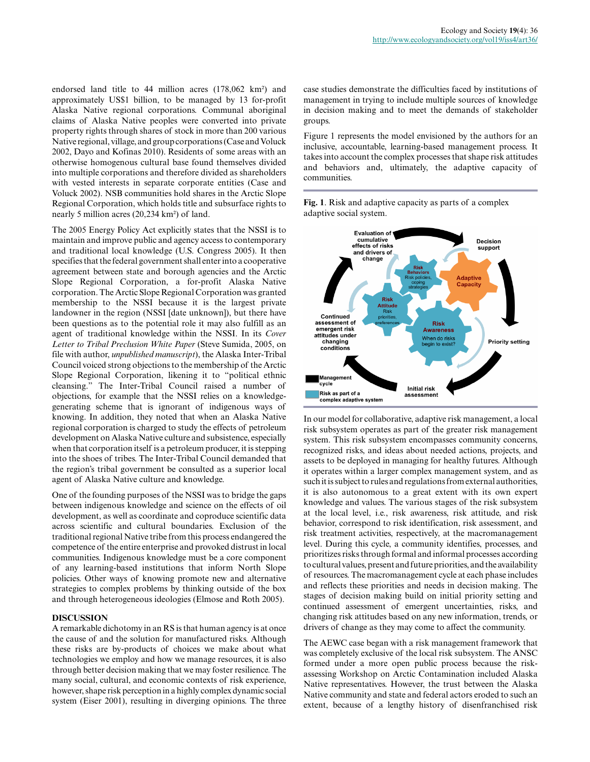endorsed land title to 44 million acres (178,062 km²) and approximately US\$1 billion, to be managed by 13 for-profit Alaska Native regional corporations. Communal aboriginal claims of Alaska Native peoples were converted into private property rights through shares of stock in more than 200 various Native regional, village, and group corporations (Case and Voluck 2002, Dayo and Kofinas 2010). Residents of some areas with an otherwise homogenous cultural base found themselves divided into multiple corporations and therefore divided as shareholders with vested interests in separate corporate entities (Case and Voluck 2002). NSB communities hold shares in the Arctic Slope Regional Corporation, which holds title and subsurface rights to nearly 5 million acres (20,234 km²) of land.

The 2005 Energy Policy Act explicitly states that the NSSI is to maintain and improve public and agency access to contemporary and traditional local knowledge (U.S. Congress 2005). It then specifies that the federal government shall enter into a cooperative agreement between state and borough agencies and the Arctic Slope Regional Corporation, a for-profit Alaska Native corporation. The Arctic Slope Regional Corporation was granted membership to the NSSI because it is the largest private landowner in the region (NSSI [date unknown]), but there have been questions as to the potential role it may also fulfill as an agent of traditional knowledge within the NSSI. In its *Cover Letter to Tribal Preclusion White Paper* (Steve Sumida, 2005, on file with author, *unpublished manuscript*), the Alaska Inter-Tribal Council voiced strong objections to the membership of the Arctic Slope Regional Corporation, likening it to "political ethnic cleansing." The Inter-Tribal Council raised a number of objections, for example that the NSSI relies on a knowledgegenerating scheme that is ignorant of indigenous ways of knowing. In addition, they noted that when an Alaska Native regional corporation is charged to study the effects of petroleum development on Alaska Native culture and subsistence, especially when that corporation itself is a petroleum producer, it is stepping into the shoes of tribes. The Inter-Tribal Council demanded that the region's tribal government be consulted as a superior local agent of Alaska Native culture and knowledge.

One of the founding purposes of the NSSI was to bridge the gaps between indigenous knowledge and science on the effects of oil development, as well as coordinate and coproduce scientific data across scientific and cultural boundaries. Exclusion of the traditional regional Native tribe from this process endangered the competence of the entire enterprise and provoked distrust in local communities. Indigenous knowledge must be a core component of any learning-based institutions that inform North Slope policies. Other ways of knowing promote new and alternative strategies to complex problems by thinking outside of the box and through heterogeneous ideologies (Elmose and Roth 2005).

# **DISCUSSION**

A remarkable dichotomy in an RS is that human agency is at once the cause of and the solution for manufactured risks. Although these risks are by-products of choices we make about what technologies we employ and how we manage resources, it is also through better decision making that we may foster resilience. The many social, cultural, and economic contexts of risk experience, however, shape risk perception in a highly complex dynamic social system (Eiser 2001), resulting in diverging opinions. The three case studies demonstrate the difficulties faced by institutions of management in trying to include multiple sources of knowledge in decision making and to meet the demands of stakeholder groups.

Figure 1 represents the model envisioned by the authors for an inclusive, accountable, learning-based management process. It takes into account the complex processes that shape risk attitudes and behaviors and, ultimately, the adaptive capacity of communities.

**Fig. 1**. Risk and adaptive capacity as parts of a complex adaptive social system.



In our model for collaborative, adaptive risk management, a local risk subsystem operates as part of the greater risk management system. This risk subsystem encompasses community concerns, recognized risks, and ideas about needed actions, projects, and assets to be deployed in managing for healthy futures. Although it operates within a larger complex management system, and as such it is subject to rules and regulations from external authorities, it is also autonomous to a great extent with its own expert knowledge and values. The various stages of the risk subsystem at the local level, i.e., risk awareness, risk attitude, and risk behavior, correspond to risk identification, risk assessment, and risk treatment activities, respectively, at the macromanagement level. During this cycle, a community identifies, processes, and prioritizes risks through formal and informal processes according to cultural values, present and future priorities, and the availability of resources. The macromanagement cycle at each phase includes and reflects these priorities and needs in decision making. The stages of decision making build on initial priority setting and continued assessment of emergent uncertainties, risks, and changing risk attitudes based on any new information, trends, or drivers of change as they may come to affect the community.

The AEWC case began with a risk management framework that was completely exclusive of the local risk subsystem. The ANSC formed under a more open public process because the riskassessing Workshop on Arctic Contamination included Alaska Native representatives. However, the trust between the Alaska Native community and state and federal actors eroded to such an extent, because of a lengthy history of disenfranchised risk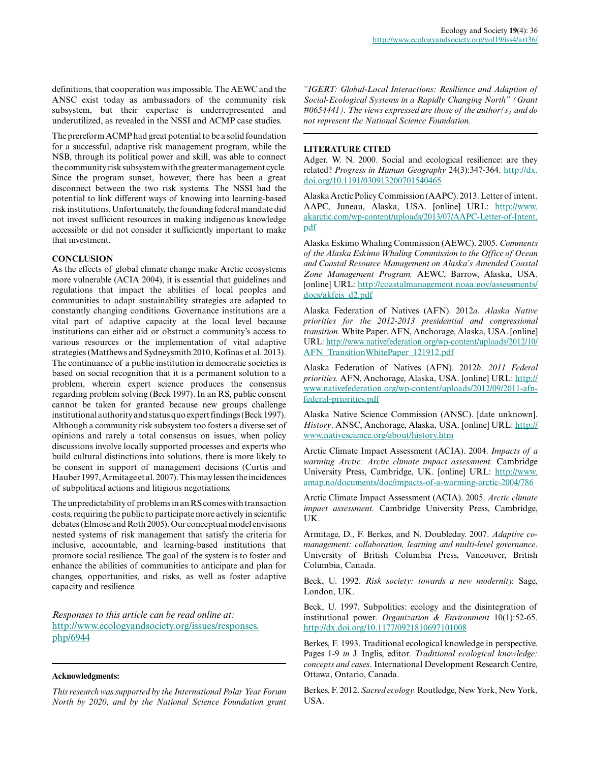definitions, that cooperation was impossible. The AEWC and the ANSC exist today as ambassadors of the community risk subsystem, but their expertise is underrepresented and underutilized, as revealed in the NSSI and ACMP case studies.

The prereform ACMP had great potential to be a solid foundation for a successful, adaptive risk management program, while the NSB, through its political power and skill, was able to connect the community risk subsystem with the greater management cycle. Since the program sunset, however, there has been a great disconnect between the two risk systems. The NSSI had the potential to link different ways of knowing into learning-based risk institutions. Unfortunately, the founding federal mandate did not invest sufficient resources in making indigenous knowledge accessible or did not consider it sufficiently important to make that investment.

# **CONCLUSION**

As the effects of global climate change make Arctic ecosystems more vulnerable (ACIA 2004), it is essential that guidelines and regulations that impact the abilities of local peoples and communities to adapt sustainability strategies are adapted to constantly changing conditions. Governance institutions are a vital part of adaptive capacity at the local level because institutions can either aid or obstruct a community's access to various resources or the implementation of vital adaptive strategies (Matthews and Sydneysmith 2010, Kofinas et al. 2013). The continuance of a public institution in democratic societies is based on social recognition that it is a permanent solution to a problem, wherein expert science produces the consensus regarding problem solving (Beck 1997). In an RS, public consent cannot be taken for granted because new groups challenge institutional authority and status quo expert findings (Beck 1997). Although a community risk subsystem too fosters a diverse set of opinions and rarely a total consensus on issues, when policy discussions involve locally supported processes and experts who build cultural distinctions into solutions, there is more likely to be consent in support of management decisions (Curtis and Hauber 1997, Armitage et al. 2007). This may lessen the incidences of subpolitical actions and litigious negotiations.

The unpredictability of problems in an RS comes with transaction costs, requiring the public to participate more actively in scientific debates (Elmose and Roth 2005). Our conceptual model envisions nested systems of risk management that satisfy the criteria for inclusive, accountable, and learning-based institutions that promote social resilience. The goal of the system is to foster and enhance the abilities of communities to anticipate and plan for changes, opportunities, and risks, as well as foster adaptive capacity and resilience.

*Responses to this article can be read online at:* [http://www.ecologyandsociety.org/issues/responses.](http://www.ecologyandsociety.org/issues/responses.php/6944) [php/6944](http://www.ecologyandsociety.org/issues/responses.php/6944)

### **Acknowledgments:**

*This research was supported by the International Polar Year Forum North by 2020, and by the National Science Foundation grant*

*"IGERT: Global-Local Interactions: Resilience and Adaption of Social-Ecological Systems in a Rapidly Changing North" (Grant #0654441). The views expressed are those of the author(s) and do not represent the National Science Foundation.*

# **LITERATURE CITED**

Adger, W. N. 2000. Social and ecological resilience: are they related? *Progress in Human Geography* 24(3):347-364. [http://dx.](http://dx.doi.org/10.1191%2F030913200701540465) [doi.org/10.1191/030913200701540465](http://dx.doi.org/10.1191%2F030913200701540465)

Alaska Arctic Policy Commission (AAPC). 2013. Letter of intent. AAPC, Juneau, Alaska, USA. [online] URL: [http://www.](http://www.akarctic.com/wp-content/uploads/2013/07/AAPC-Letter-of-Intent.pdf) [akarctic.com/wp-content/uploads/2013/07/AAPC-Letter-of-Intent.](http://www.akarctic.com/wp-content/uploads/2013/07/AAPC-Letter-of-Intent.pdf) [pdf](http://www.akarctic.com/wp-content/uploads/2013/07/AAPC-Letter-of-Intent.pdf)

Alaska Eskimo Whaling Commission (AEWC). 2005. *Comments of the Alaska Eskimo Whaling Commission to the Office of Ocean and Coastal Resource Management on Alaska's Amended Coastal Zone Management Program.* AEWC, Barrow, Alaska, USA. [online] URL: [http://coastalmanagement.noaa.gov/assessments/](http://coastalmanagement.noaa.gov/assessments/docs/akfeis_d2.pdf) [docs/akfeis\\_d2.pdf](http://coastalmanagement.noaa.gov/assessments/docs/akfeis_d2.pdf)

Alaska Federation of Natives (AFN). 2012*a*. *Alaska Native priorities for the 2012-2013 presidential and congressional transition.* White Paper. AFN, Anchorage, Alaska, USA. [online] URL: [http://www.nativefederation.org/wp-content/uploads/2012/10/](http://www.nativefederation.org/wp-content/uploads/2012/10/AFN_TransitionWhitePaper_121912.pdf) [AFN\\_TransitionWhitePaper\\_121912.pdf](http://www.nativefederation.org/wp-content/uploads/2012/10/AFN_TransitionWhitePaper_121912.pdf)

Alaska Federation of Natives (AFN). 2012*b*. *2011 Federal priorities.* AFN, Anchorage, Alaska, USA. [online] URL: [http://](http://www.nativefederation.org/wp-content/uploads/2012/09/2011-afn-federal-priorities.pdf) [www.nativefederation.org/wp-content/uploads/2012/09/2011-afn](http://www.nativefederation.org/wp-content/uploads/2012/09/2011-afn-federal-priorities.pdf)[federal-priorities.pdf](http://www.nativefederation.org/wp-content/uploads/2012/09/2011-afn-federal-priorities.pdf)

Alaska Native Science Commission (ANSC). [date unknown]. *History*. ANSC, Anchorage, Alaska, USA. [online] URL: [http://](http://www.nativescience.org/about/history.htm) [www.nativescience.org/about/history.htm](http://www.nativescience.org/about/history.htm) 

Arctic Climate Impact Assessment (ACIA). 2004. *Impacts of a warming Arctic: Arctic climate impact assessment.* Cambridge University Press, Cambridge, UK. [online] URL: [http://www.](http://www.amap.no/documents/doc/impacts-of-a-warming-arctic-2004/786) [amap.no/documents/doc/impacts-of-a-warming-arctic-2004/786](http://www.amap.no/documents/doc/impacts-of-a-warming-arctic-2004/786) 

Arctic Climate Impact Assessment (ACIA). 2005. *Arctic climate impact assessment.* Cambridge University Press, Cambridge, UK.

Armitage, D., F. Berkes, and N. Doubleday. 2007. *Adaptive comanagement: collaboration, learning and multi-level governance*. University of British Columbia Press, Vancouver, British Columbia, Canada.

Beck, U. 1992. *Risk society: towards a new modernity.* Sage, London, UK.

Beck, U. 1997. Subpolitics: ecology and the disintegration of institutional power. *Organization & Environment* 10(1):52-65. [http://dx.doi.org/10.1177/0921810697101008](http://dx.doi.org/10.1177%2F0921810697101008)

Berkes, F. 1993. Traditional ecological knowledge in perspective. Pages 1-9 *in* J. Inglis, editor. *Traditional ecological knowledge: concepts and cases*. International Development Research Centre, Ottawa, Ontario, Canada.

Berkes, F. 2012. *Sacred ecology.* Routledge, New York, New York, USA.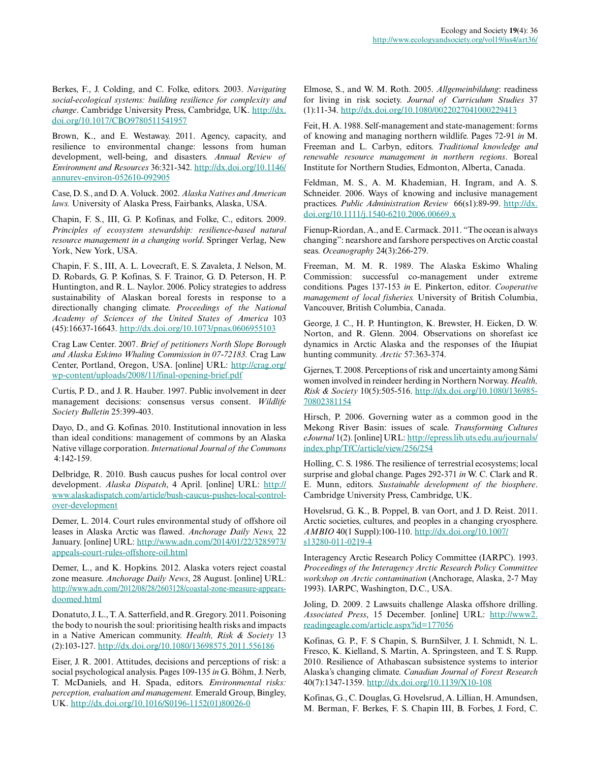Berkes, F., J. Colding, and C. Folke, editors. 2003. *Navigating social-ecological systems: building resilience for complexity and change*. Cambridge University Press, Cambridge, UK. [http://dx.](http://dx.doi.org/10.1017%2FCBO9780511541957) [doi.org/10.1017/CBO9780511541957](http://dx.doi.org/10.1017%2FCBO9780511541957) 

Brown, K., and E. Westaway. 2011. Agency, capacity, and resilience to environmental change: lessons from human development, well-being, and disasters. *Annual Review of Environment and Resources* 36:321-342. [http://dx.doi.org/10.1146/](http://dx.doi.org/10.1146%2Fannurev-environ-052610-092905) [annurev-environ-052610-092905](http://dx.doi.org/10.1146%2Fannurev-environ-052610-092905)

Case, D. S., and D. A. Voluck. 2002. *Alaska Natives and American laws.* University of Alaska Press, Fairbanks, Alaska, USA.

Chapin, F. S., III, G. P. Kofinas, and Folke, C., editors. 2009. *Principles of ecosystem stewardship: resilience-based natural resource management in a changing world*. Springer Verlag, New York, New York, USA.

Chapin, F. S., III, A. L. Lovecraft, E. S. Zavaleta, J. Nelson, M. D. Robards, G. P. Kofinas, S. F. Trainor, G. D. Peterson, H. P. Huntington, and R. L. Naylor. 2006. Policy strategies to address sustainability of Alaskan boreal forests in response to a directionally changing climate. *Proceedings of the National Academy of Sciences of the United States of America* 103 (45):16637-16643. [http://dx.doi.org/10.1073/pnas.0606955103](http://dx.doi.org/10.1073%2Fpnas.0606955103)

Crag Law Center. 2007. *Brief of petitioners North Slope Borough and Alaska Eskimo Whaling Commission in 07-72183.* Crag Law Center, Portland, Oregon, USA. [online] URL: [http://crag.org/](http://crag.org/wp-content/uploads/2008/11/final-opening-brief.pdf) [wp-content/uploads/2008/11/final-opening-brief.pdf](http://crag.org/wp-content/uploads/2008/11/final-opening-brief.pdf)

Curtis, P. D., and J. R. Hauber. 1997. Public involvement in deer management decisions: consensus versus consent. *Wildlife Society Bulletin* 25:399-403.

Dayo, D., and G. Kofinas. 2010. Institutional innovation in less than ideal conditions: management of commons by an Alaska Native village corporation. *International Journal of the Commons* 4:142-159.

Delbridge, R. 2010. Bush caucus pushes for local control over development. *Alaska Dispatch*, 4 April. [online] URL: [http://](http://www.alaskadispatch.com/article/bush-caucus-pushes-local-control-over-development) [www.alaskadispatch.com/article/bush-caucus-pushes-local-control](http://www.alaskadispatch.com/article/bush-caucus-pushes-local-control-over-development)[over-development](http://www.alaskadispatch.com/article/bush-caucus-pushes-local-control-over-development)

Demer, L. 2014. Court rules environmental study of offshore oil leases in Alaska Arctic was flawed. *Anchorage Daily News,* 22 January. [online] URL: [http://www.adn.com/2014/01/22/3285973/](http://www.adn.com/2014/01/22/3285973/appeals-court-rules-offshore-oil.html) [appeals-court-rules-offshore-oil.html](http://www.adn.com/2014/01/22/3285973/appeals-court-rules-offshore-oil.html) 

Demer, L., and K. Hopkins. 2012. Alaska voters reject coastal zone measure. *Anchorage Daily News*, 28 August. [online] URL: [http://www.adn.com/2012/08/28/2603128/coastal-zone-measure-appears](http://www.adn.com/2012/08/28/2603128/coastal-zone-measure-appears-doomed.html)[doomed.html](http://www.adn.com/2012/08/28/2603128/coastal-zone-measure-appears-doomed.html)

Donatuto, J. L., T. A. Satterfield, and R. Gregory. 2011. Poisoning the body to nourish the soul: prioritising health risks and impacts in a Native American community. *Health, Risk & Society* 13 (2):103-127. [http://dx.doi.org/10.1080/13698575.2011.556186](http://dx.doi.org/10.1080%2F13698575.2011.556186) 

Eiser, J. R. 2001. Attitudes, decisions and perceptions of risk: a social psychological analysis. Pages 109-135 *in* G. Böhm, J. Nerb, T. McDaniels, and H. Spada, editors. *Environmental risks: perception, evaluation and management.* Emerald Group, Bingley, UK. [http://dx.doi.org/10.1016/S0196-1152\(01\)80026-0](http://dx.doi.org/10.1016%2FS0196-1152%2801%2980026-0) 

Elmose, S., and W. M. Roth. 2005. *Allgemeinbildung*: readiness for living in risk society. *Journal of Curriculum Studies* 37 (1):11-34. [http://dx.doi.org/10.1080/0022027041000229413](http://dx.doi.org/10.1080%2F0022027041000229413)

Feit, H. A. 1988. Self-management and state-management: forms of knowing and managing northern wildlife. Pages 72-91 *in* M. Freeman and L. Carbyn, editors. *Traditional knowledge and renewable resource management in northern regions*. Boreal Institute for Northern Studies, Edmonton, Alberta, Canada.

Feldman, M. S., A. M. Khademian, H. Ingram, and A. S. Schneider. 2006. Ways of knowing and inclusive management practices. *Public Administration Review* 66(s1):89-99. [http://dx.](http://dx.doi.org/10.1111%2Fj.1540-6210.2006.00669.x) [doi.org/10.1111/j.1540-6210.2006.00669.x](http://dx.doi.org/10.1111%2Fj.1540-6210.2006.00669.x)

Fienup-Riordan, A., and E. Carmack. 2011. "The ocean is always changing": nearshore and farshore perspectives on Arctic coastal seas. *Oceanography* 24(3):266-279.

Freeman, M. M. R. 1989. The Alaska Eskimo Whaling Commission: successful co-management under extreme conditions. Pages 137-153 *in* E. Pinkerton, editor. *Cooperative management of local fisheries.* University of British Columbia, Vancouver, British Columbia, Canada.

George, J. C., H. P. Huntington, K. Brewster, H. Eicken, D. W. Norton, and R. Glenn. 2004. Observations on shorefast ice dynamics in Arctic Alaska and the responses of the Iñupiat hunting community. *Arctic* 57:363-374.

Gjernes, T. 2008. Perceptions of risk and uncertainty among Sámi women involved in reindeer herding in Northern Norway. *Health, Risk & Society* 10(5):505-516. [http://dx.doi.org/10.1080/136985](http://dx.doi.org/10.1080%2F13698570802381154) [70802381154](http://dx.doi.org/10.1080%2F13698570802381154)

Hirsch, P. 2006. Governing water as a common good in the Mekong River Basin: issues of scale. *Transforming Cultures eJournal* 1(2). [online] URL: [http://epress.lib.uts.edu.au/journals/](http://epress.lib.uts.edu.au/journals/index.php/TfC/article/view/256/254) [index.php/TfC/article/view/256/254](http://epress.lib.uts.edu.au/journals/index.php/TfC/article/view/256/254)

Holling, C. S. 1986. The resilience of terrestrial ecosystems; local surprise and global change. Pages 292-371 *in* W. C. Clark and R. E. Munn, editors. *Sustainable development of the biosphere*. Cambridge University Press, Cambridge, UK.

Hovelsrud, G. K., B. Poppel, B. van Oort, and J. D. Reist. 2011. Arctic societies, cultures, and peoples in a changing cryosphere. *AMBIO* 40(1 Suppl):100-110. [http://dx.doi.org/10.1007/](http://dx.doi.org/10.1007%2Fs13280-011-0219-4) [s13280-011-0219-4](http://dx.doi.org/10.1007%2Fs13280-011-0219-4) 

Interagency Arctic Research Policy Committee (IARPC). 1993. *Proceedings of the Interagency Arctic Research Policy Committee workshop on Arctic contamination* (Anchorage, Alaska, 2-7 May 1993). IARPC, Washington, D.C., USA.

Joling, D. 2009. 2 Lawsuits challenge Alaska offshore drilling. *Associated Press*, 15 December. [online] URL: [http://www2.](http://www2.readingeagle.com/article.aspx?id=177056) [readingeagle.com/article.aspx?id=177056](http://www2.readingeagle.com/article.aspx?id=177056) 

Kofinas, G. P., F. S Chapin, S. BurnSilver, J. I. Schmidt, N. L. Fresco, K. Kielland, S. Martin, A. Springsteen, and T. S. Rupp. 2010. Resilience of Athabascan subsistence systems to interior Alaska's changing climate. *Canadian Journal of Forest Research* 40(7):1347-1359. [http://dx.doi.org/10.1139/X10-108](http://dx.doi.org/10.1139%2FX10-108)

Kofinas, G., C. Douglas, G. Hovelsrud, A. Lillian, H. Amundsen, M. Berman, F. Berkes, F. S. Chapin III, B. Forbes, J. Ford, C.